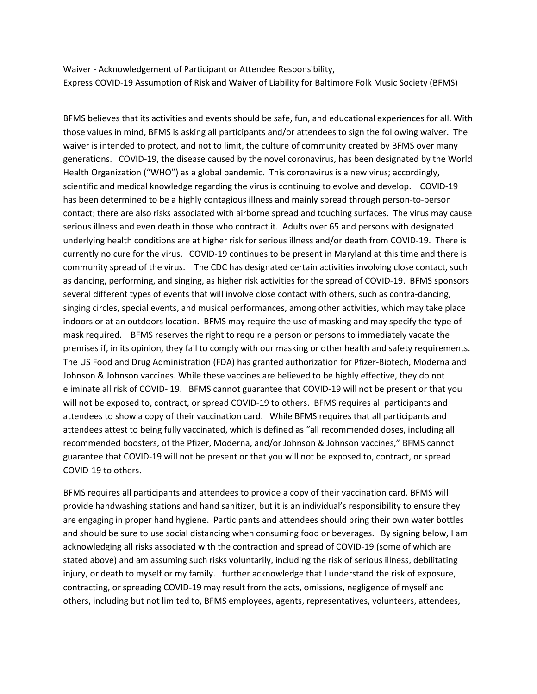Waiver - Acknowledgement of Participant or Attendee Responsibility, Express COVID-19 Assumption of Risk and Waiver of Liability for Baltimore Folk Music Society (BFMS)

BFMS believes that its activities and events should be safe, fun, and educational experiences for all. With those values in mind, BFMS is asking all participants and/or attendees to sign the following waiver. The waiver is intended to protect, and not to limit, the culture of community created by BFMS over many generations. COVID-19, the disease caused by the novel coronavirus, has been designated by the World Health Organization ("WHO") as a global pandemic. This coronavirus is a new virus; accordingly, scientific and medical knowledge regarding the virus is continuing to evolve and develop. COVID-19 has been determined to be a highly contagious illness and mainly spread through person-to-person contact; there are also risks associated with airborne spread and touching surfaces. The virus may cause serious illness and even death in those who contract it. Adults over 65 and persons with designated underlying health conditions are at higher risk for serious illness and/or death from COVID-19. There is currently no cure for the virus. COVID-19 continues to be present in Maryland at this time and there is community spread of the virus. The CDC has designated certain activities involving close contact, such as dancing, performing, and singing, as higher risk activities for the spread of COVID-19. BFMS sponsors several different types of events that will involve close contact with others, such as contra-dancing, singing circles, special events, and musical performances, among other activities, which may take place indoors or at an outdoors location. BFMS may require the use of masking and may specify the type of mask required. BFMS reserves the right to require a person or persons to immediately vacate the premises if, in its opinion, they fail to comply with our masking or other health and safety requirements. The US Food and Drug Administration (FDA) has granted authorization for Pfizer-Biotech, Moderna and Johnson & Johnson vaccines. While these vaccines are believed to be highly effective, they do not eliminate all risk of COVID- 19. BFMS cannot guarantee that COVID-19 will not be present or that you will not be exposed to, contract, or spread COVID-19 to others. BFMS requires all participants and attendees to show a copy of their vaccination card. While BFMS requires that all participants and attendees attest to being fully vaccinated, which is defined as "all recommended doses, including all recommended boosters, of the Pfizer, Moderna, and/or Johnson & Johnson vaccines," BFMS cannot guarantee that COVID-19 will not be present or that you will not be exposed to, contract, or spread COVID-19 to others.

BFMS requires all participants and attendees to provide a copy of their vaccination card. BFMS will provide handwashing stations and hand sanitizer, but it is an individual's responsibility to ensure they are engaging in proper hand hygiene. Participants and attendees should bring their own water bottles and should be sure to use social distancing when consuming food or beverages. By signing below, I am acknowledging all risks associated with the contraction and spread of COVID-19 (some of which are stated above) and am assuming such risks voluntarily, including the risk of serious illness, debilitating injury, or death to myself or my family. I further acknowledge that I understand the risk of exposure, contracting, or spreading COVID-19 may result from the acts, omissions, negligence of myself and others, including but not limited to, BFMS employees, agents, representatives, volunteers, attendees,